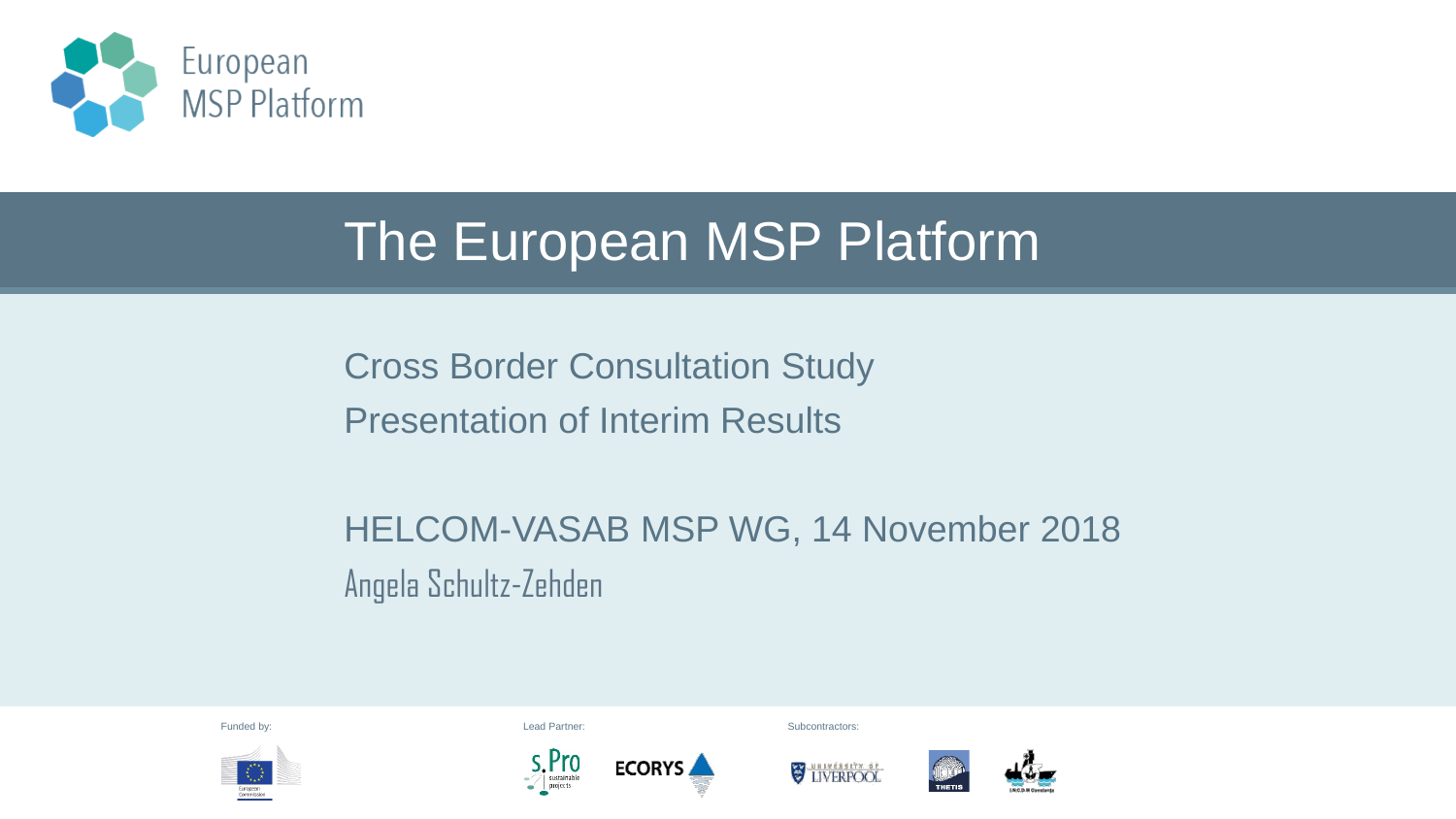

#### The European MSP Platform

Cross Border Consultation Study Presentation of Interim Results

**ECORYS** 

HELCOM-VASAB MSP WG, 14 November 2018 Angela Schultz-Zehden



Funded by: Subcontractors: Subcontractors: Subcontractors: Subcontractors: Subcontractors: Subcontractors: Subcontractors: Subcontractors: Subcontractors: Subcontractors: Subcontractors: Subcontractors: Subcontractors: Sub



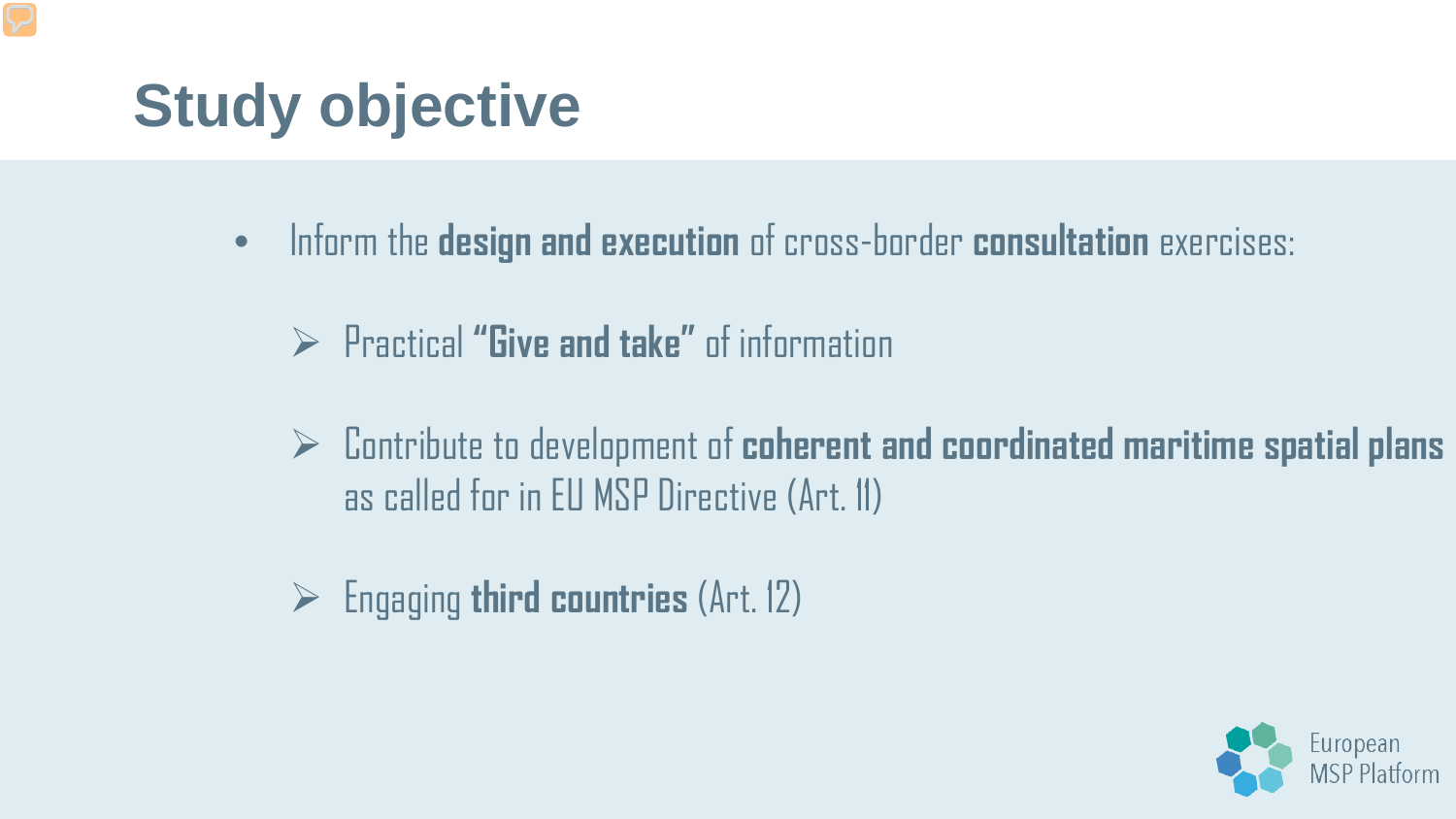# **Study objective**

- Inform the **design and execution** of cross-border **consultation** exercises:
	- Practical **"Give and take"** of information
	- Contribute to development of **coherent and coordinated maritime spatial plans** as called for in EU MSP Directive (Art. 11)
	- Engaging **third countries** (Art. 12)

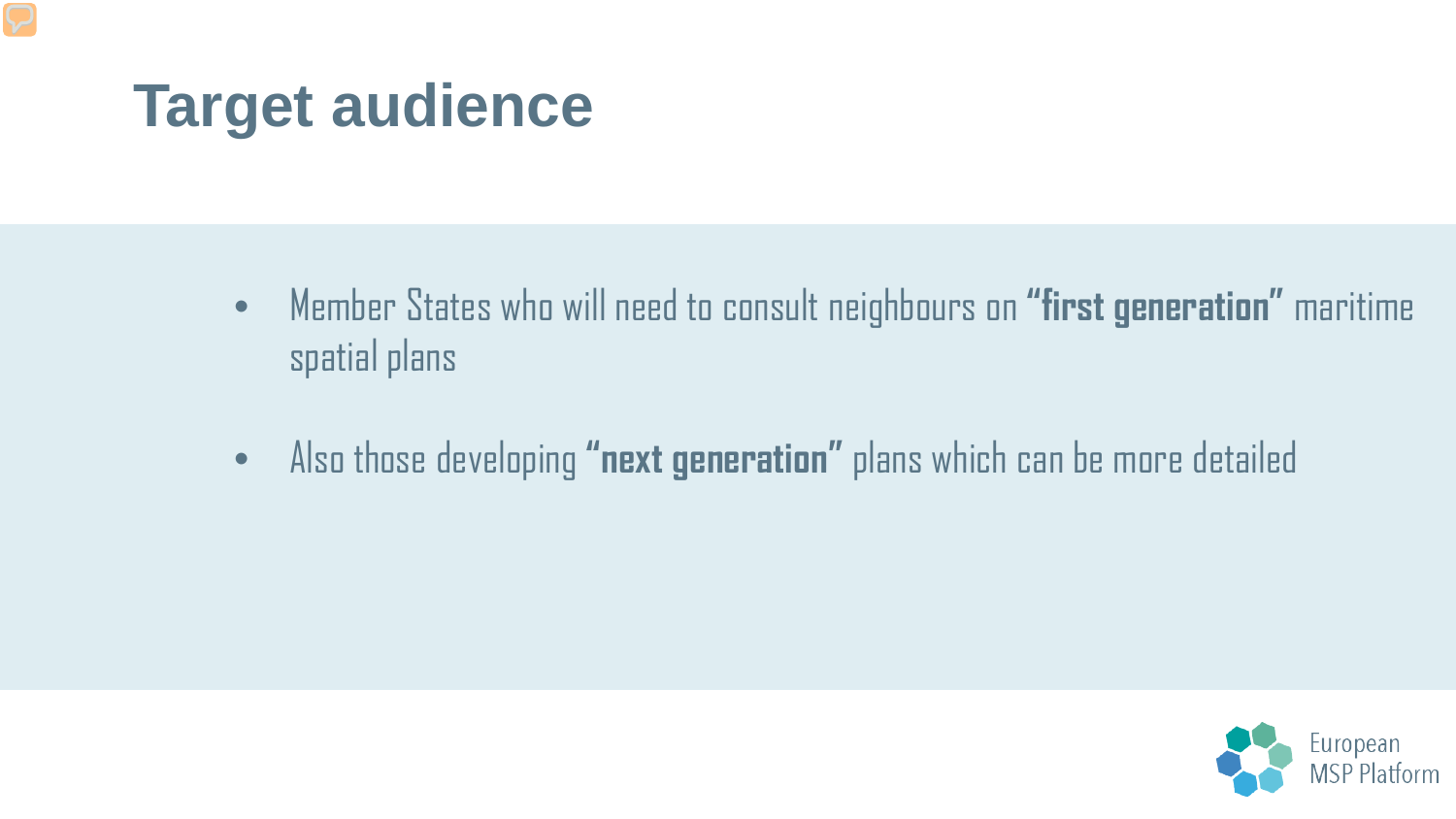### **Target audience**

- Member States who will need to consult neighbours on **"first generation"** maritime spatial plans
- Also those developing **"next generation"** plans which can be more detailed

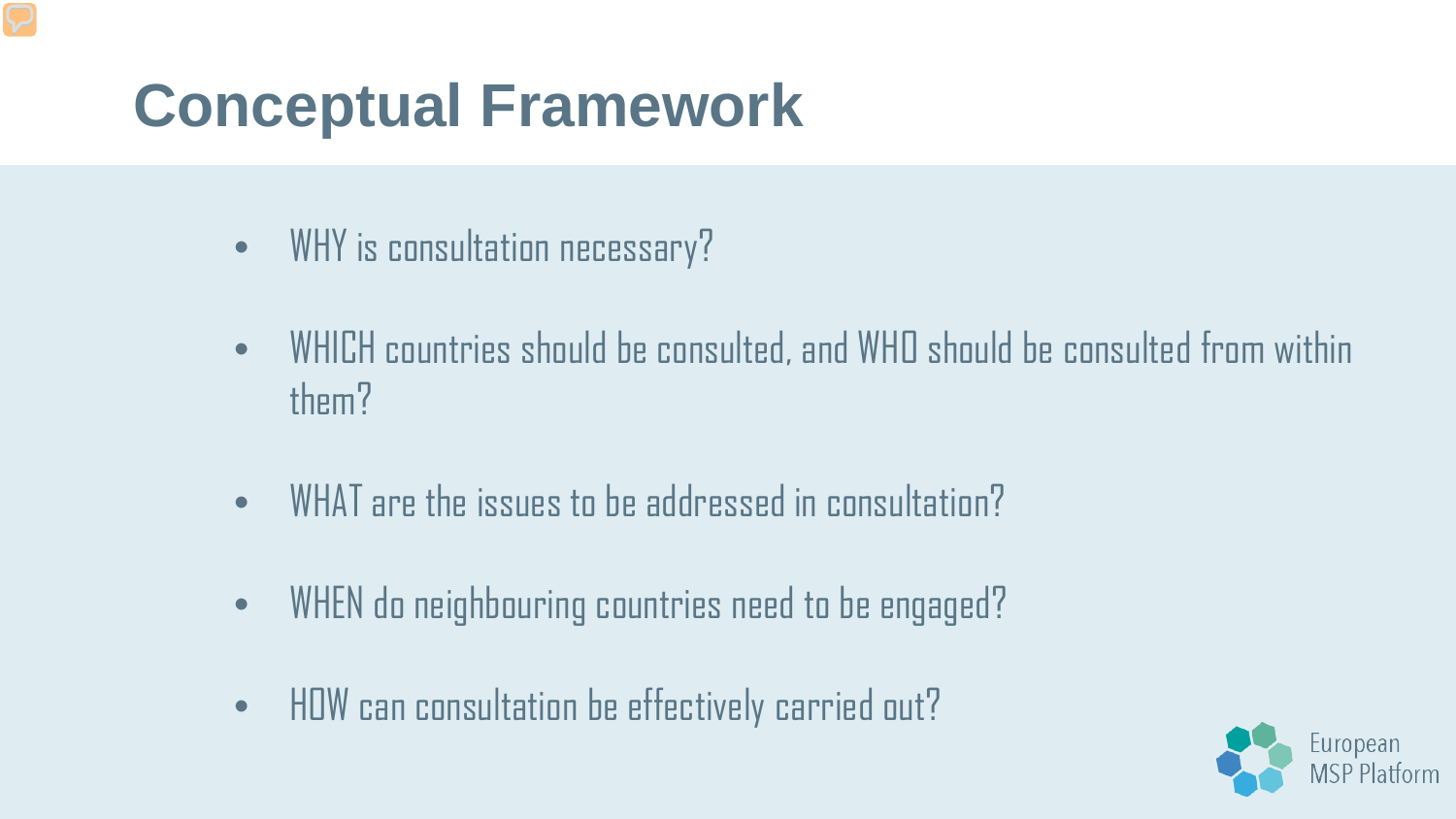## **Conceptual Framework**

- WHY is consultation necessary?
- WHICH countries should be consulted, and WHO should be consulted from within them?
- WHAT are the issues to be addressed in consultation?
- WHEN do neighbouring countries need to be engaged?
- HOW can consultation be effectively carried out?

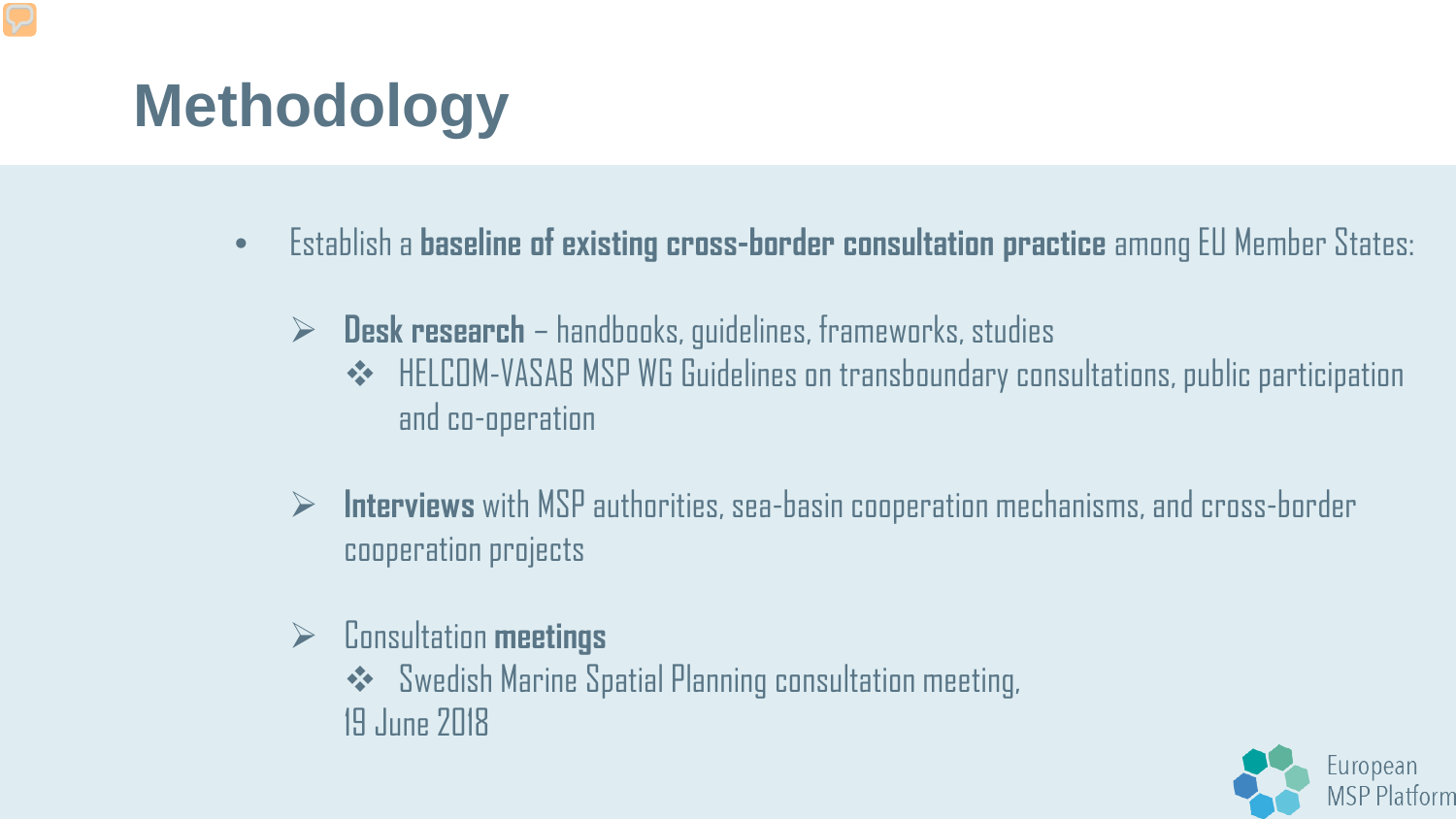# **Methodology**

- Establish a **baseline of existing cross-border consultation practice** among EU Member States:
	- **Desk research**  handbooks, guidelines, frameworks, studies
		- ◆ HELCOM-VASAB MSP WG Guidelines on transboundary consultations, public participation and co-operation
	- **Interviews** with MSP authorities, sea-basin cooperation mechanisms, and cross-border cooperation projects
	- Consultation **meetings**
		- ◆ Swedish Marine Spatial Planning consultation meeting, 19 June 2018

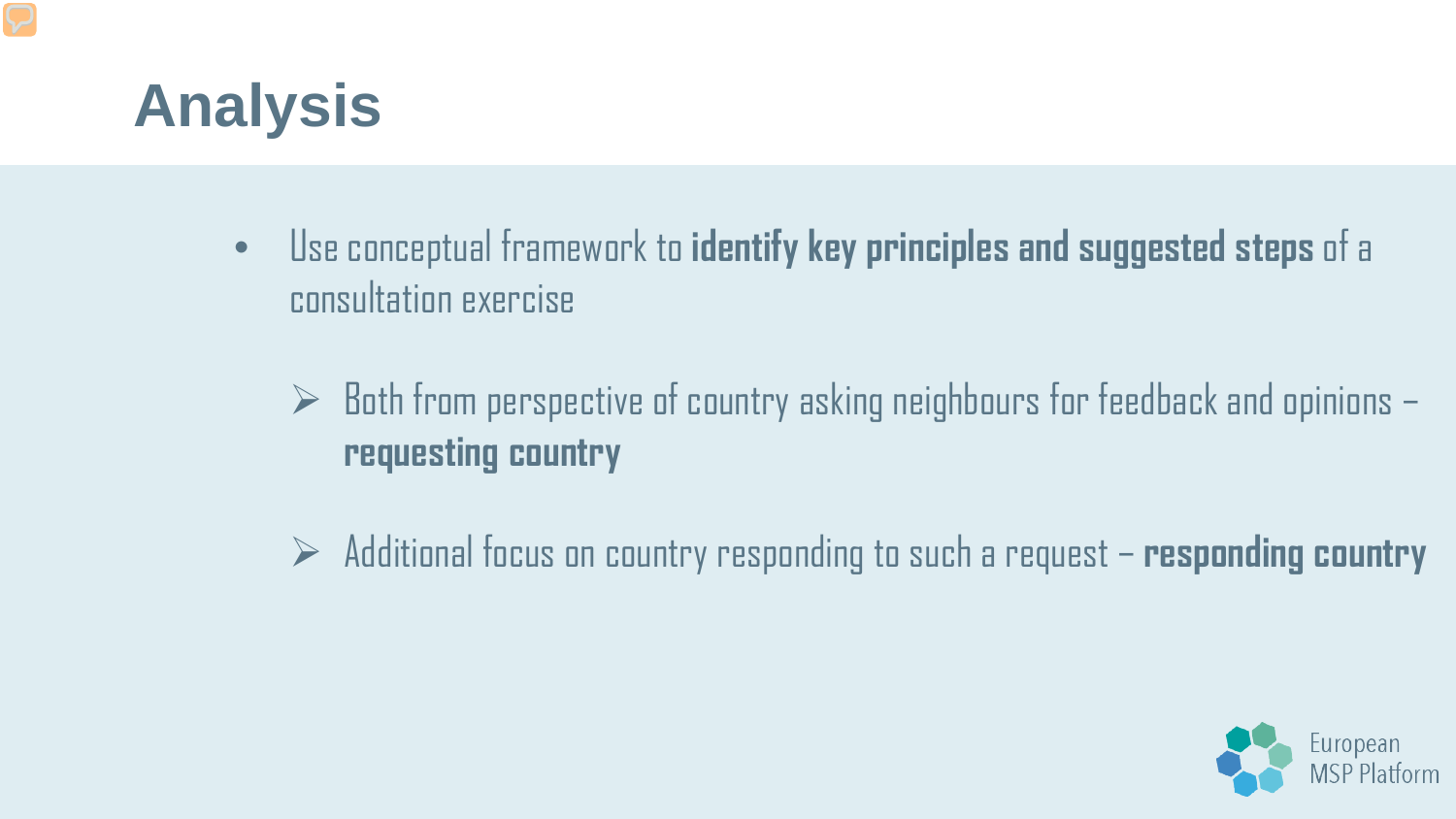

- Use conceptual framework to **identify key principles and suggested steps** of a consultation exercise
	- $\triangleright$  Both from perspective of country asking neighbours for feedback and opinions  $\mathsf{I}$ **requesting country**
	- Additional focus on country responding to such a request **responding country**

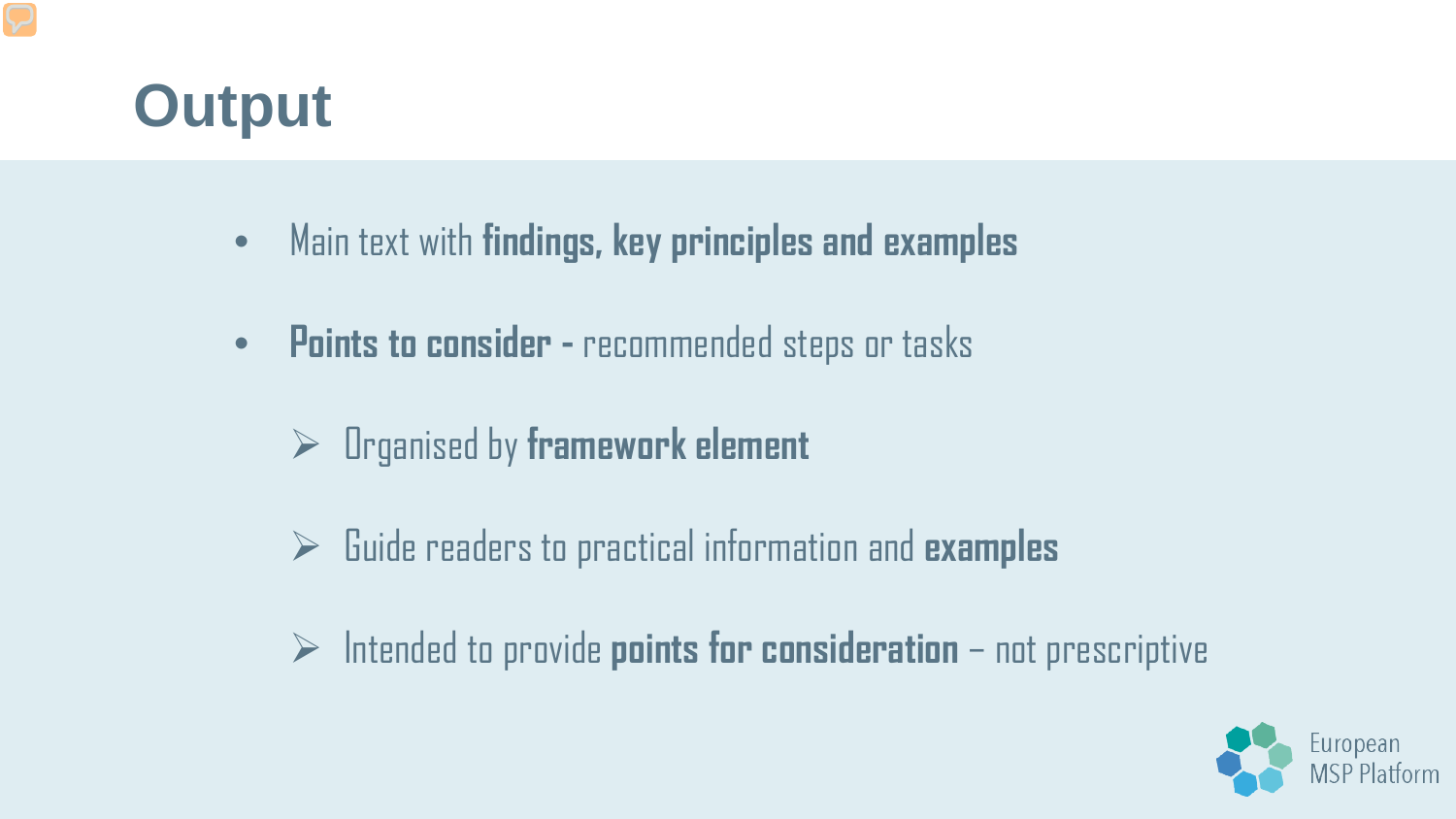## **Output**

- Main text with **findings, key principles and examples**
- **Points to consider -** recommended steps or tasks
	- Organised by **framework element**
	- Guide readers to practical information and **examples**
	- $\triangleright$  Intended to provide **points for consideration** not prescriptive

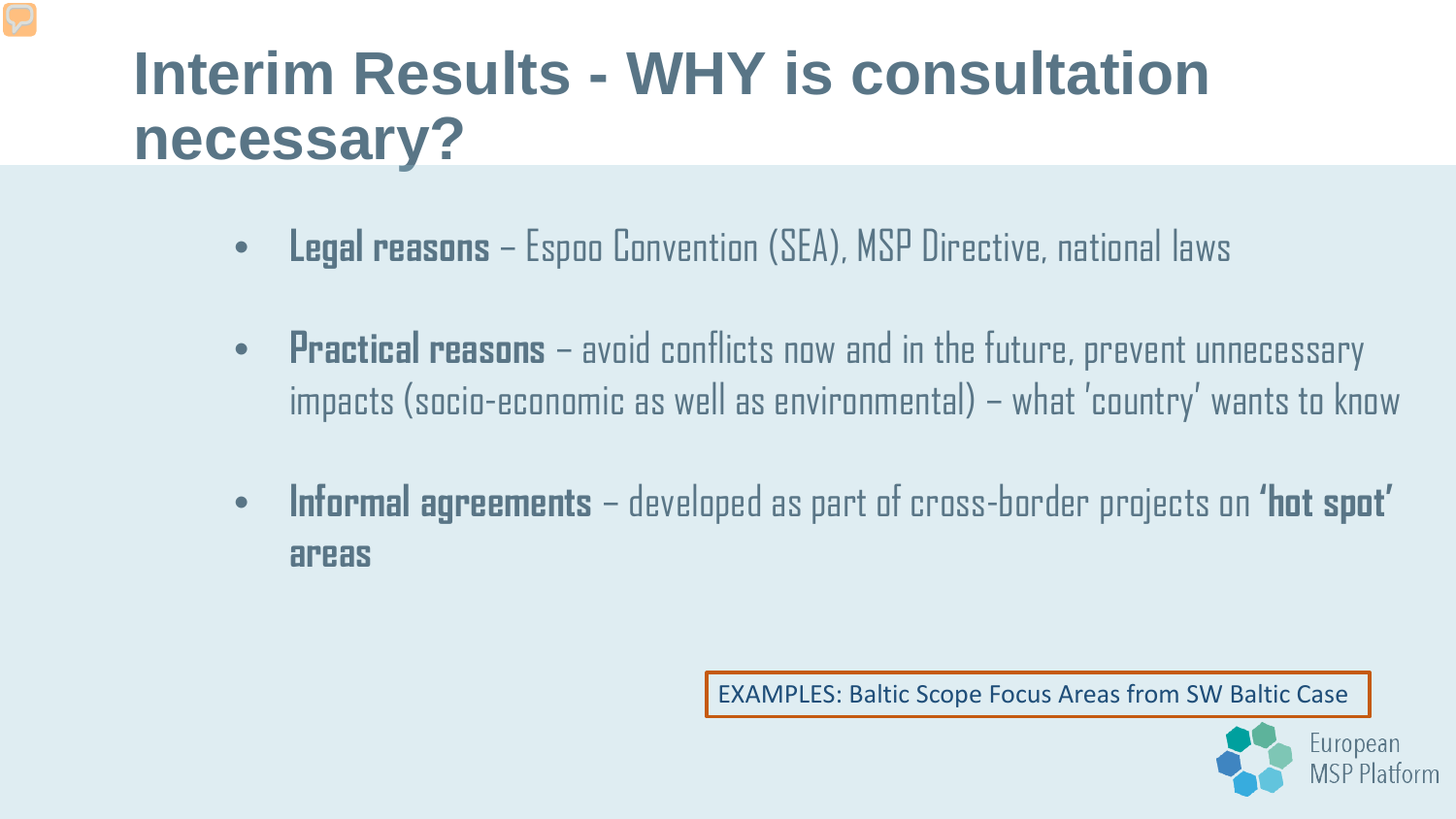## **Interim Results - WHY is consultation necessary?**

- **Legal reasons**  Espoo Convention (SEA), MSP Directive, national laws
- **Practical reasons**  avoid conflicts now and in the future, prevent unnecessary impacts (socio-economic as well as environmental) – what 'country' wants to know
- **Informal agreements**  developed as part of cross-border projects on **'hot spot' areas**

EXAMPLES: Baltic Scope Focus Areas from SW Baltic Case

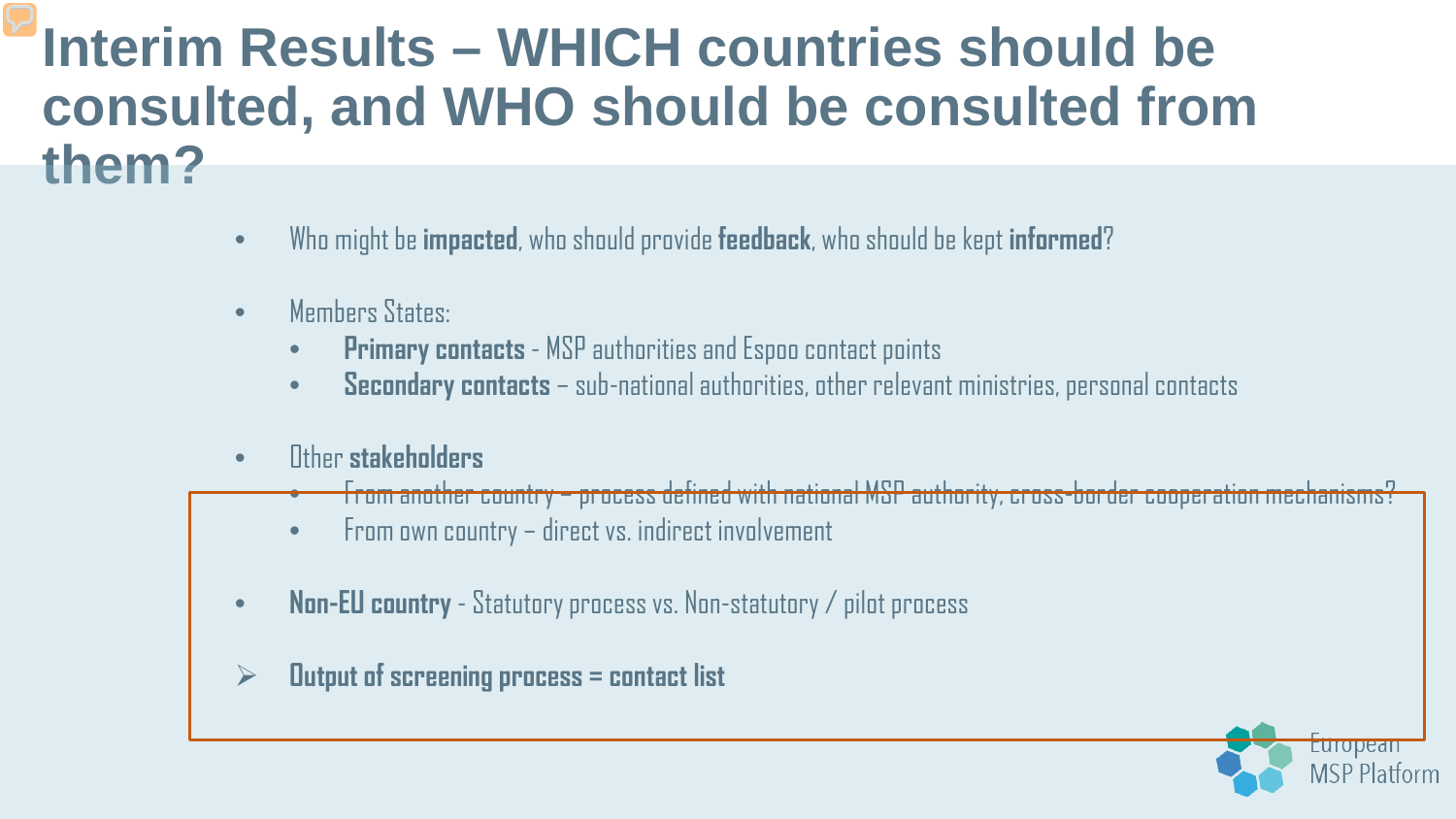#### **Interim Results – WHICH countries should be consulted, and WHO should be consulted from them?**

- Who might be **impacted**, who should provide **feedback**, who should be kept **informed**?
- Members States:
	- **Primary contacts**  MSP authorities and Espoo contact points
	- **Secondary contacts**  sub-national authorities, other relevant ministries, personal contacts
- Other **stakeholders**
	- From another country process defined with national MSP authority, cross-border cooperation mechanisms?
	- From own country direct vs. indirect involvement
- **Non-EU country**  Statutory process vs. Non-statutory / pilot process
- **Output of screening process = contact list**

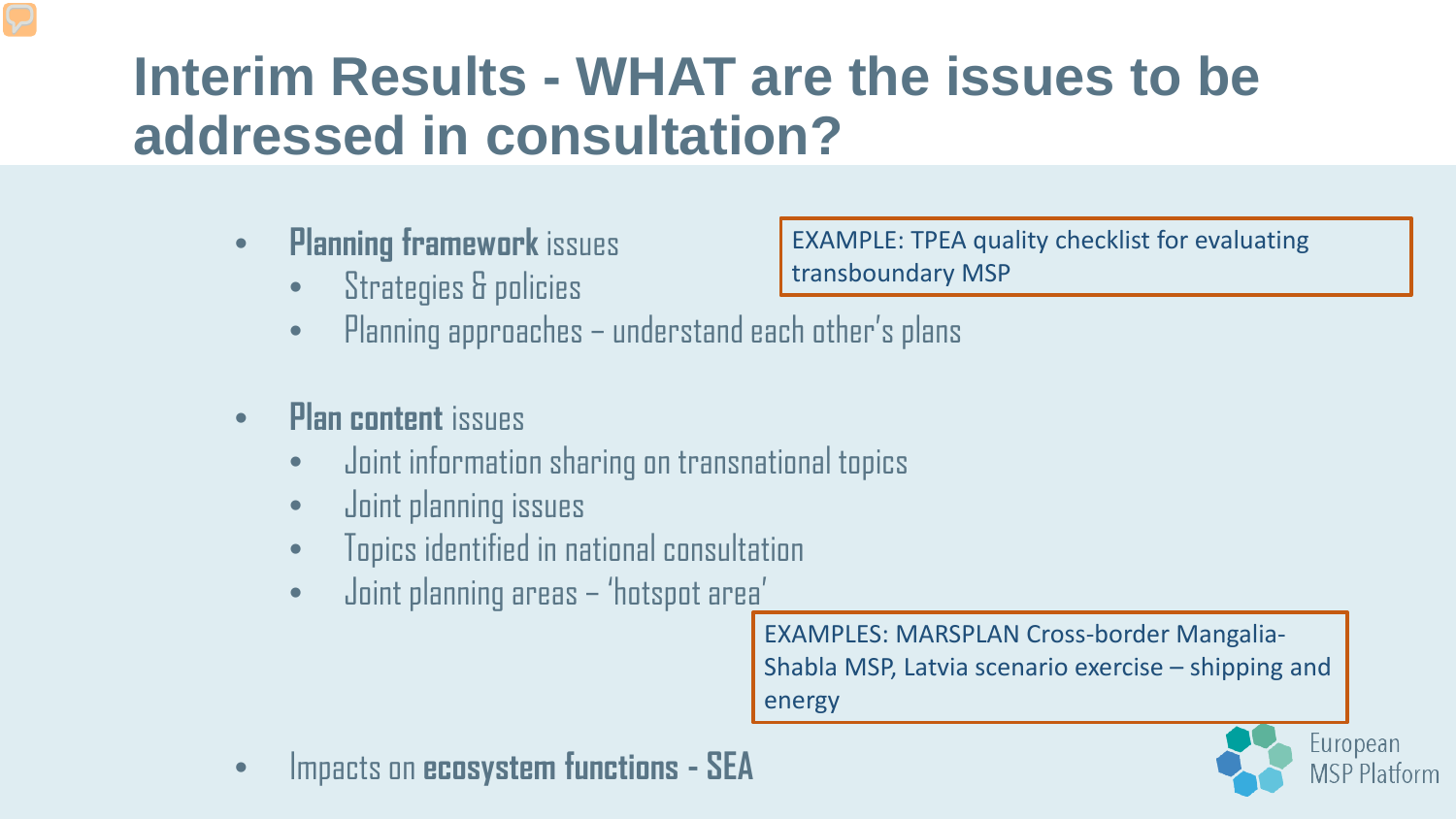### **Interim Results - WHAT are the issues to be addressed in consultation?**

- **Planning framework** issues
	- Strategies & policies

EXAMPLE: TPEA quality checklist for evaluating transboundary MSP

- Planning approaches understand each other's plans
- **Plan content** issues
	- Joint information sharing on transnational topics
	- Joint planning issues
	- Topics identified in national consultation
	- Joint planning areas 'hotspot area'

EXAMPLES: MARSPLAN Cross-border Mangalia-Shabla MSP, Latvia scenario exercise – shipping and energy

• Impacts on **ecosystem functions - SEA**

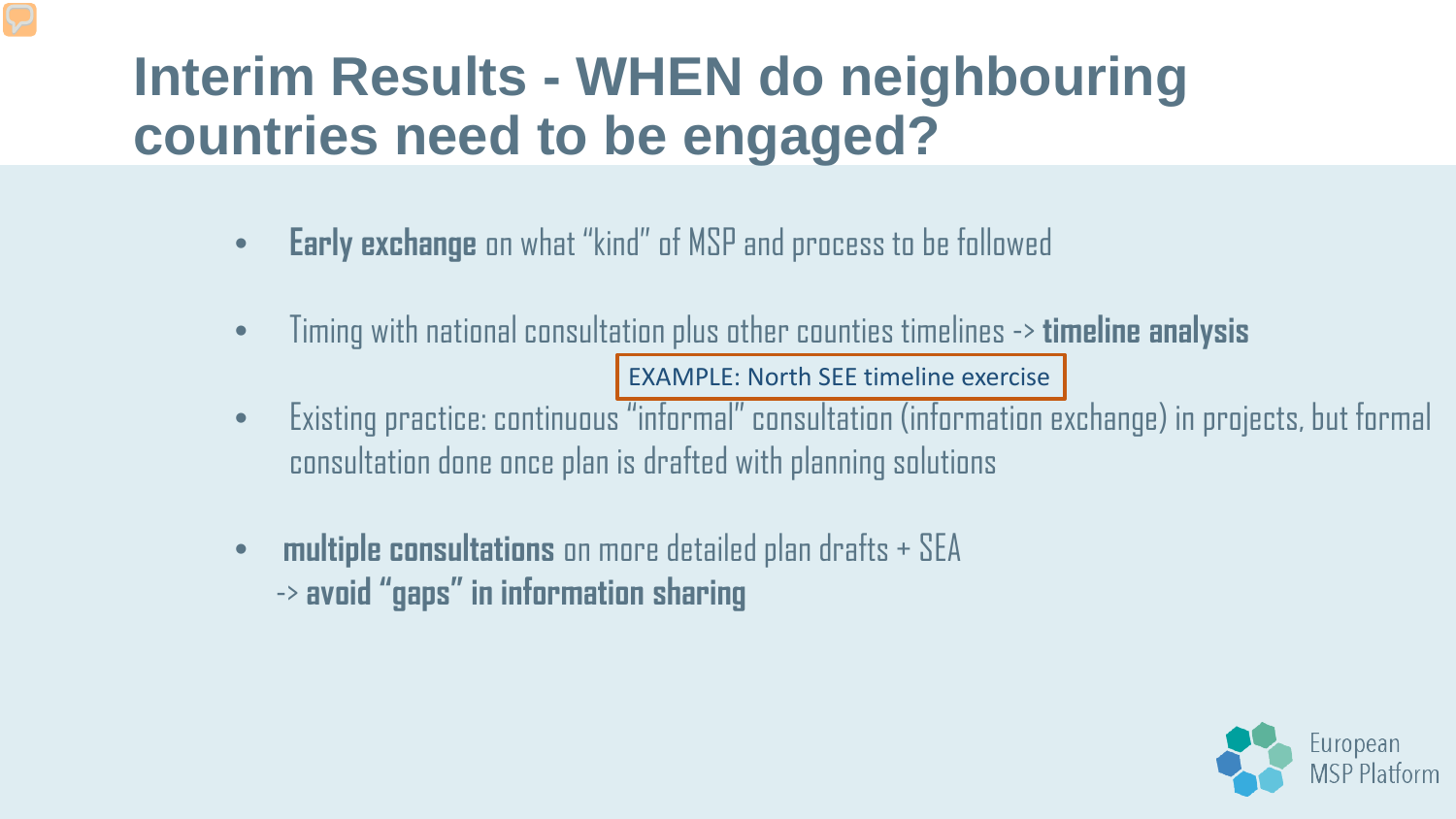### **Interim Results - WHEN do neighbouring countries need to be engaged?**

- **Early exchange** on what "kind" of MSP and process to be followed
- Timing with national consultation plus other counties timelines -> **timeline analysis**  EXAMPLE: North SEE timeline exercise
- Existing practice: continuous "informal" consultation (information exchange) in projects, but formal consultation done once plan is drafted with planning solutions
- **multiple consultations** on more detailed plan drafts + SEA -> **avoid "gaps" in information sharing**

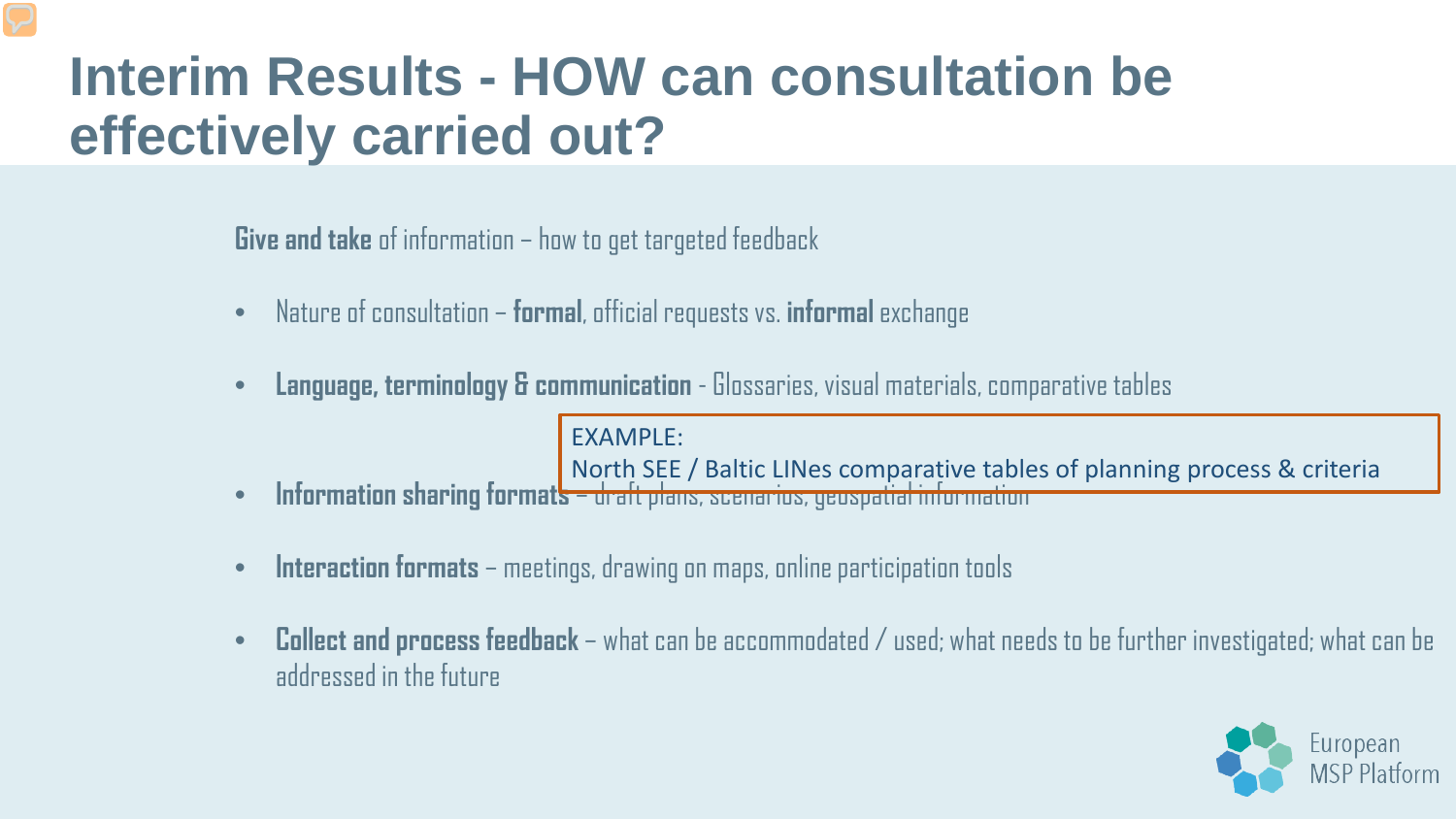#### **Interim Results - HOW can consultation be effectively carried out?**

**Give and take** of information – how to get targeted feedback

- Nature of consultation **formal**, official requests vs. **informal**exchange
- **Language, terminology & communication**  Glossaries, visual materials, comparative tables

EXAMPLE:

North SEE / Baltic LINes comparative tables of planning process & criteria

- **Information sharing formats**  draft plans, scenarios, geospatial information
- **Interaction formats**  meetings, drawing on maps, online participation tools
- **Collect and process feedback** what can be accommodated / used; what needs to be further investigated; what can be addressed in the future

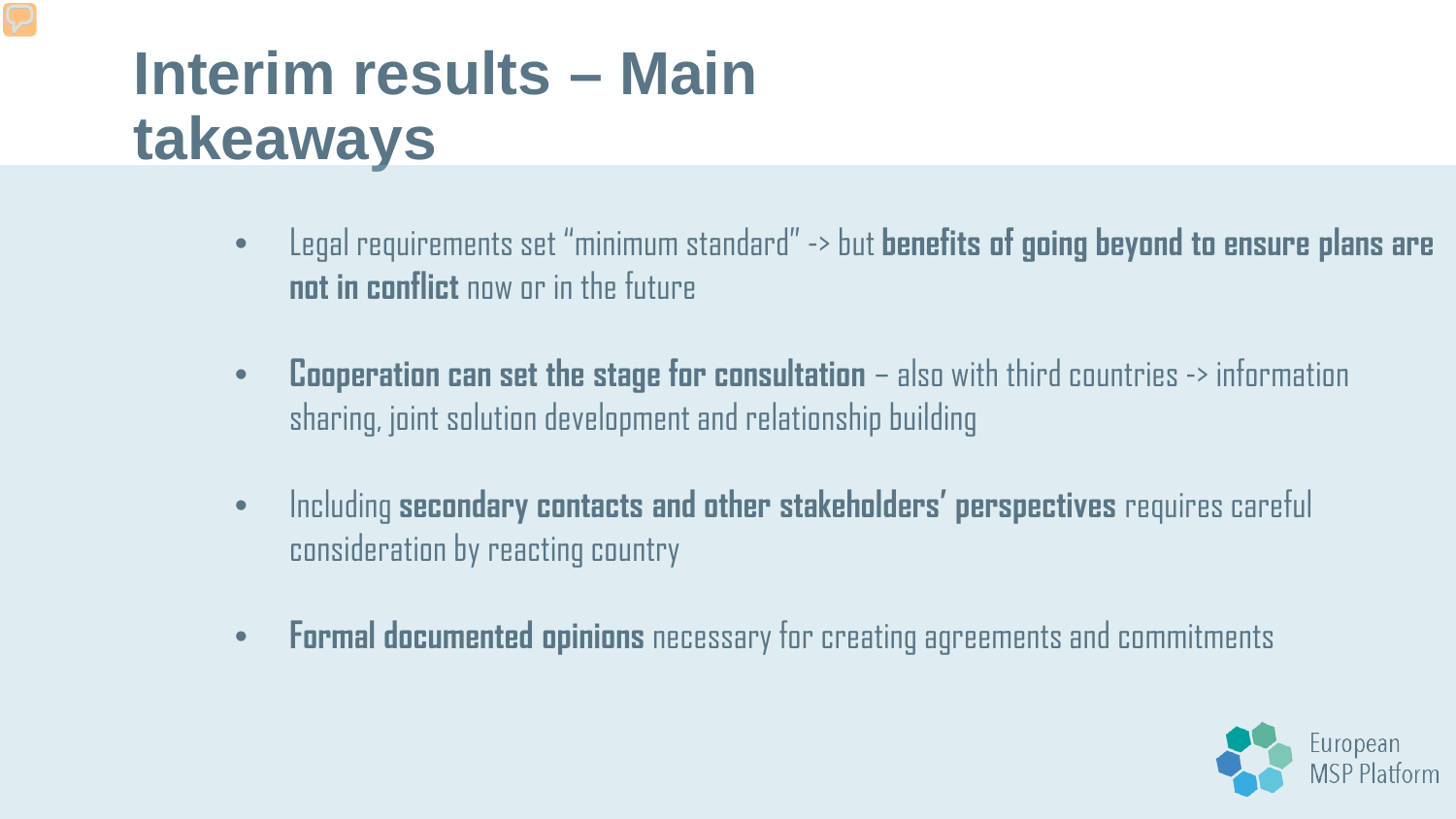### **Interim results – Main takeaways**

- Legal requirements set "minimum standard" -> but **benefits of going beyond to ensure plans are not in conflict** now or in the future
- **Cooperation can set the stage for consultation**  also with third countries -> information sharing, joint solution development and relationship building
- Including **secondary contacts and other stakeholders' perspectives** requires careful consideration by reacting country
- **Formal documented opinions** necessary for creating agreements and commitments